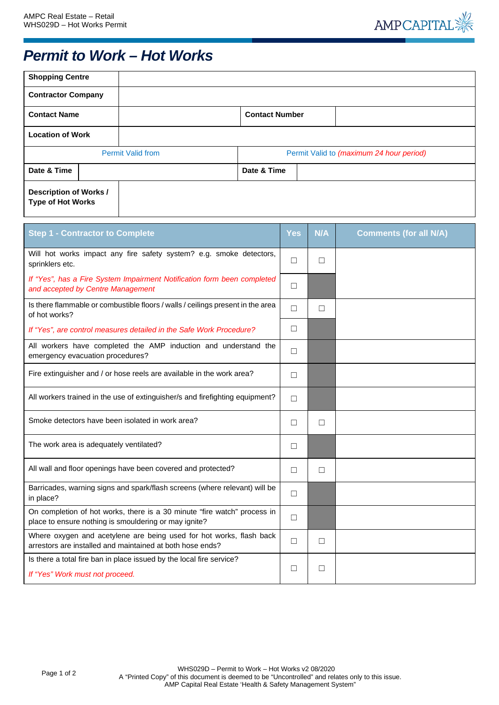

## *Permit to Work – Hot Works*

| <b>Shopping Centre</b>                                                                                                            |                                                                     |                       |                                          |            |                               |  |  |
|-----------------------------------------------------------------------------------------------------------------------------------|---------------------------------------------------------------------|-----------------------|------------------------------------------|------------|-------------------------------|--|--|
| <b>Contractor Company</b>                                                                                                         |                                                                     |                       |                                          |            |                               |  |  |
| <b>Contact Name</b>                                                                                                               |                                                                     | <b>Contact Number</b> |                                          |            |                               |  |  |
| <b>Location of Work</b>                                                                                                           |                                                                     |                       |                                          |            |                               |  |  |
|                                                                                                                                   | <b>Permit Valid from</b>                                            |                       | Permit Valid to (maximum 24 hour period) |            |                               |  |  |
| Date & Time                                                                                                                       | Date & Time                                                         |                       |                                          |            |                               |  |  |
| <b>Description of Works /</b><br><b>Type of Hot Works</b>                                                                         |                                                                     |                       |                                          |            |                               |  |  |
| <b>Step 1 - Contractor to Complete</b>                                                                                            |                                                                     |                       | Yes                                      | <b>N/A</b> | <b>Comments (for all N/A)</b> |  |  |
| sprinklers etc.                                                                                                                   | Will hot works impact any fire safety system? e.g. smoke detectors, |                       | □                                        | □          |                               |  |  |
| If "Yes", has a Fire System Impairment Notification form been completed<br>and accepted by Centre Management                      |                                                                     |                       | $\Box$                                   |            |                               |  |  |
| Is there flammable or combustible floors / walls / ceilings present in the area<br>of hot works?                                  |                                                                     |                       | $\Box$                                   | $\Box$     |                               |  |  |
| If "Yes", are control measures detailed in the Safe Work Procedure?                                                               |                                                                     |                       | □                                        |            |                               |  |  |
| All workers have completed the AMP induction and understand the<br>emergency evacuation procedures?                               |                                                                     |                       | □                                        |            |                               |  |  |
| Fire extinguisher and / or hose reels are available in the work area?                                                             |                                                                     |                       | □                                        |            |                               |  |  |
| All workers trained in the use of extinguisher/s and firefighting equipment?                                                      |                                                                     |                       | $\Box$                                   |            |                               |  |  |
| Smoke detectors have been isolated in work area?                                                                                  |                                                                     |                       | $\Box$                                   | □          |                               |  |  |
| The work area is adequately ventilated?                                                                                           |                                                                     |                       | □                                        |            |                               |  |  |
| All wall and floor openings have been covered and protected?                                                                      |                                                                     |                       | $\Box$                                   | $\Box$     |                               |  |  |
| Barricades, warning signs and spark/flash screens (where relevant) will be<br>in place?                                           |                                                                     |                       | $\Box$                                   |            |                               |  |  |
| On completion of hot works, there is a 30 minute "fire watch" process in<br>place to ensure nothing is smouldering or may ignite? |                                                                     |                       | $\Box$                                   |            |                               |  |  |
| Where oxygen and acetylene are being used for hot works, flash back<br>arrestors are installed and maintained at both hose ends?  |                                                                     |                       | $\Box$                                   | $\Box$     |                               |  |  |
| Is there a total fire ban in place issued by the local fire service?<br>If "Yes" Work must not proceed.                           |                                                                     |                       | $\Box$                                   | □          |                               |  |  |